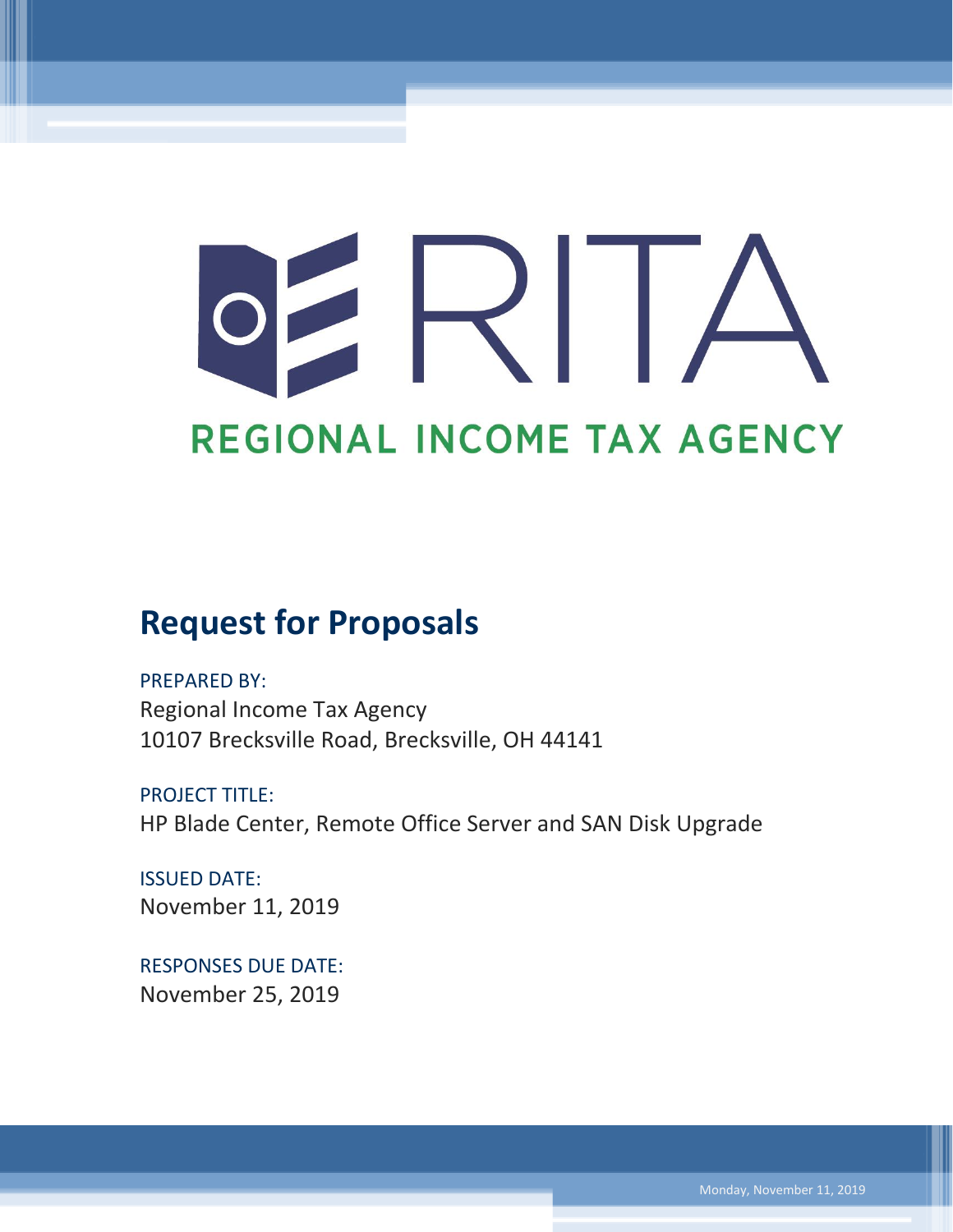# $\prec$ REGIONAL INCOME TAX AGENCY

# **Request for Proposals**

PREPARED BY: Regional Income Tax Agency 10107 Brecksville Road, Brecksville, OH 44141

PROJECT TITLE: HP Blade Center, Remote Office Server and SAN Disk Upgrade

ISSUED DATE: November 11, 2019

RESPONSES DUE DATE: November 25, 2019

Monday, November 11, 2019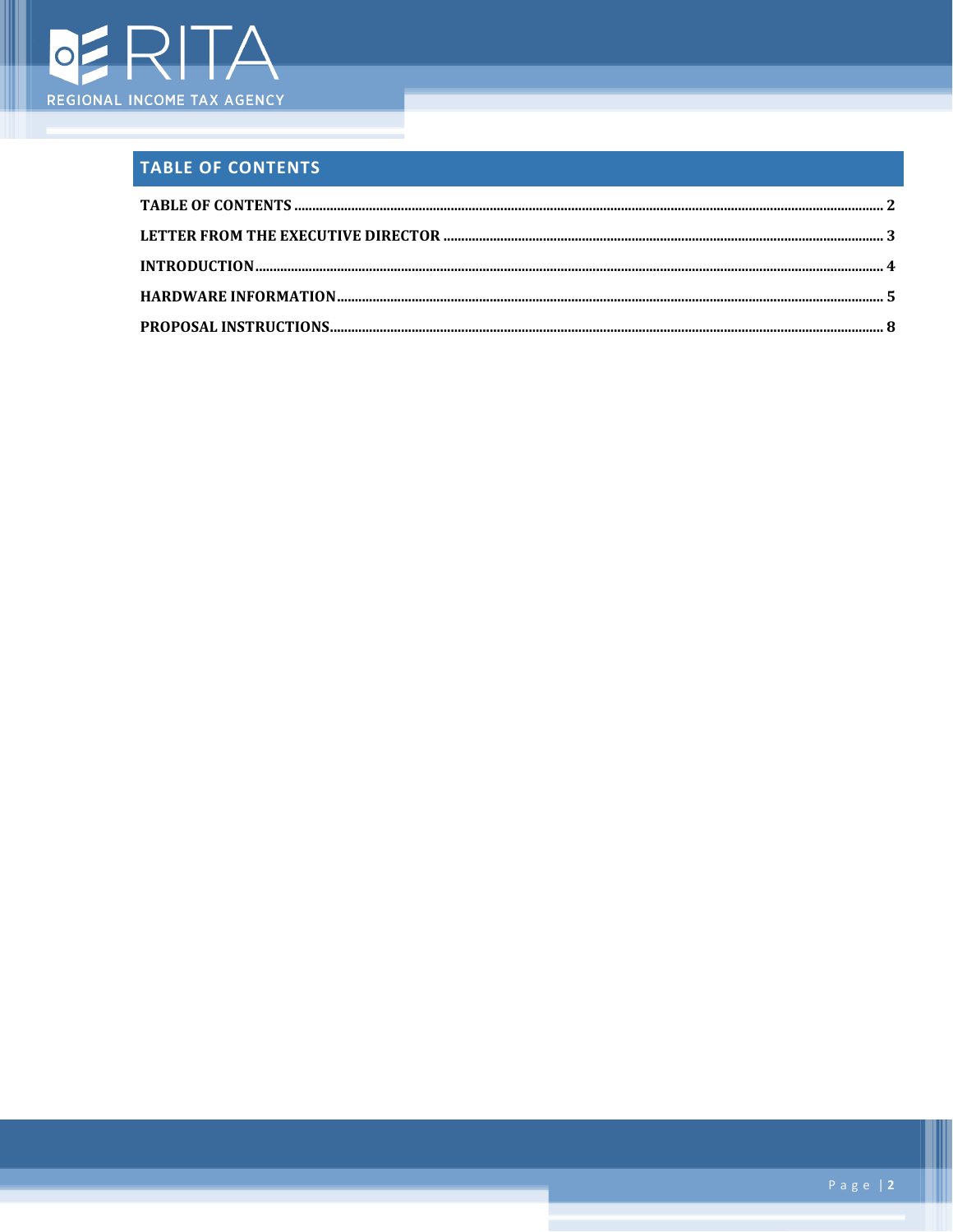

## <span id="page-1-0"></span>**TABLE OF CONTENTS**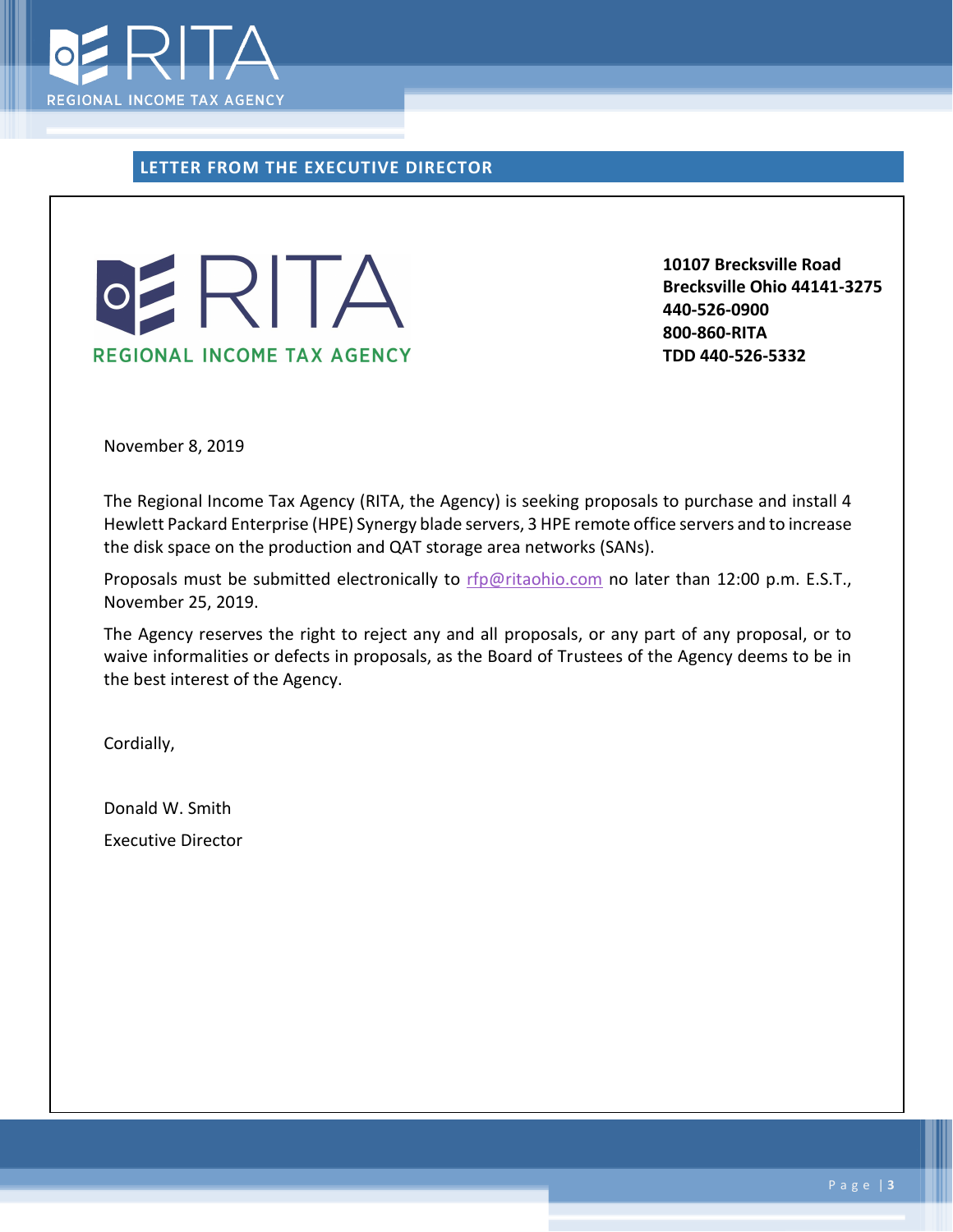

<span id="page-2-0"></span>**LETTER FROM THE EXECUTIVE DIRECTOR**



**10107 Brecksville Road Brecksville Ohio 44141-3275 440-526-0900 800-860-RITA TDD 440-526-5332**

November 8, 2019

The Regional Income Tax Agency (RITA, the Agency) is seeking proposals to purchase and install 4 Hewlett Packard Enterprise (HPE) Synergy blade servers, 3 HPE remote office servers and to increase the disk space on the production and QAT storage area networks (SANs).

Proposals must be submitted electronically to [rfp@ritaohio.com](mailto:rfp@ritaohio.com) no later than 12:00 p.m. E.S.T., November 25, 2019.

The Agency reserves the right to reject any and all proposals, or any part of any proposal, or to waive informalities or defects in proposals, as the Board of Trustees of the Agency deems to be in the best interest of the Agency.

Cordially,

Donald W. Smith Executive Director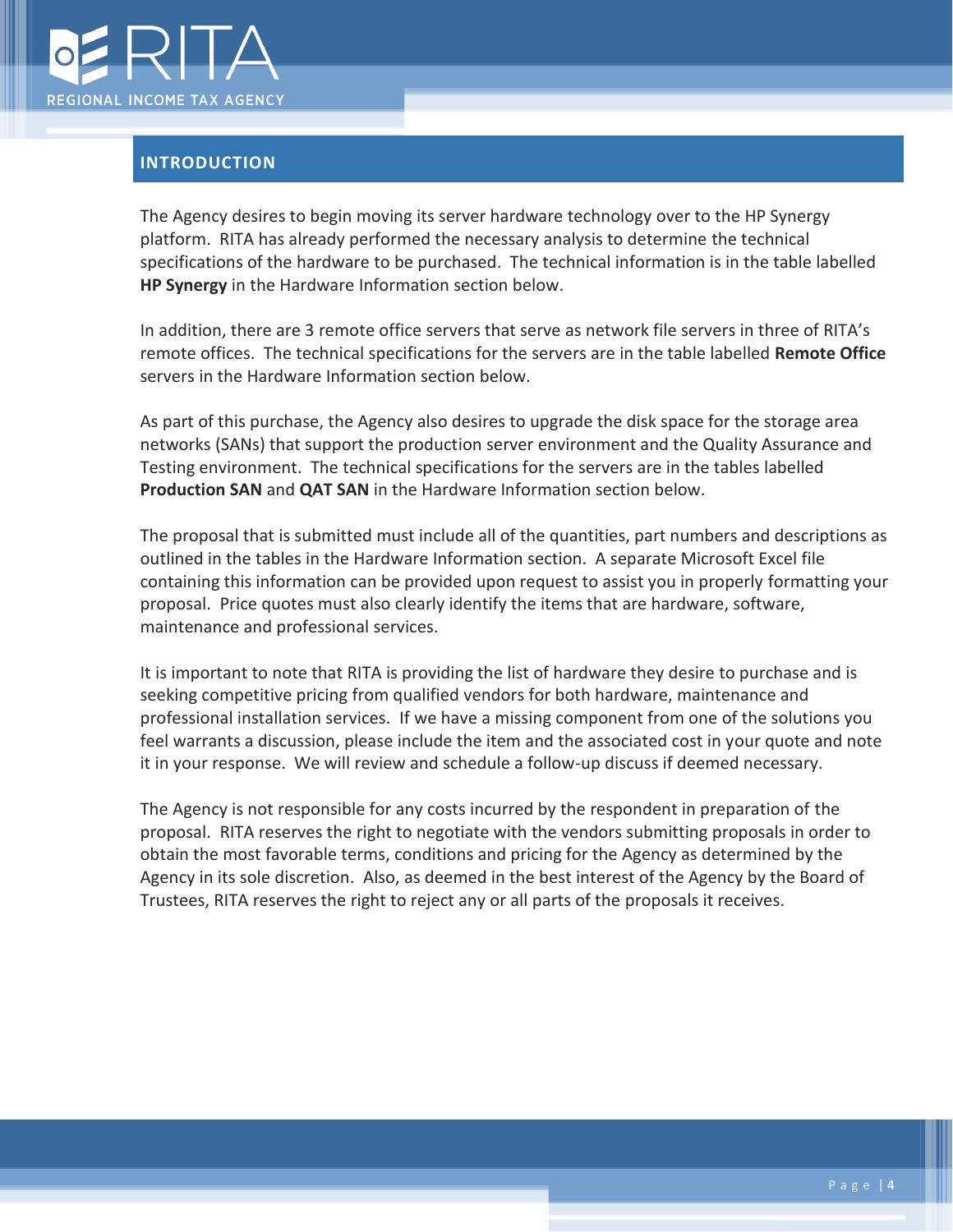

#### <span id="page-3-0"></span>**INTRODUCTION**

The Agency desires to begin moving its server hardware technology over to the HP Synergy platform. RITA has already performed the necessary analysis to determine the technical specifications of the hardware to be purchased. The technical information is in the table labelled **HP Synergy** in the Hardware Information section below.

In addition, there are 3 remote office servers that serve as network file servers in three of RITA's remote offices. The technical specifications for the servers are in the table labelled **Remote Office** servers in the Hardware Information section below.

As part of this purchase, the Agency also desires to upgrade the disk space for the storage area networks (SANs) that support the production server environment and the Quality Assurance and Testing environment. The technical specifications for the servers are in the tables labelled **Production SAN** and **QAT SAN** in the Hardware Information section below.

The proposal that is submitted must include all of the quantities, part numbers and descriptions as outlined in the tables in the Hardware Information section. A separate Microsoft Excel file containing this information can be provided upon request to assist you in properly formatting your proposal. Price quotes must also clearly identify the items that are hardware, software, maintenance and professional services.

It is important to note that RITA is providing the list of hardware they desire to purchase and is seeking competitive pricing from qualified vendors for both hardware, maintenance and professional installation services. If we have a missing component from one of the solutions you feel warrants a discussion, please include the item and the associated cost in your quote and note it in your response. We will review and schedule a follow-up discuss if deemed necessary.

The Agency is not responsible for any costs incurred by the respondent in preparation of the proposal. RITA reserves the right to negotiate with the vendors submitting proposals in order to obtain the most favorable terms, conditions and pricing for the Agency as determined by the Agency in its sole discretion. Also, as deemed in the best interest of the Agency by the Board of Trustees, RITA reserves the right to reject any or all parts of the proposals it receives.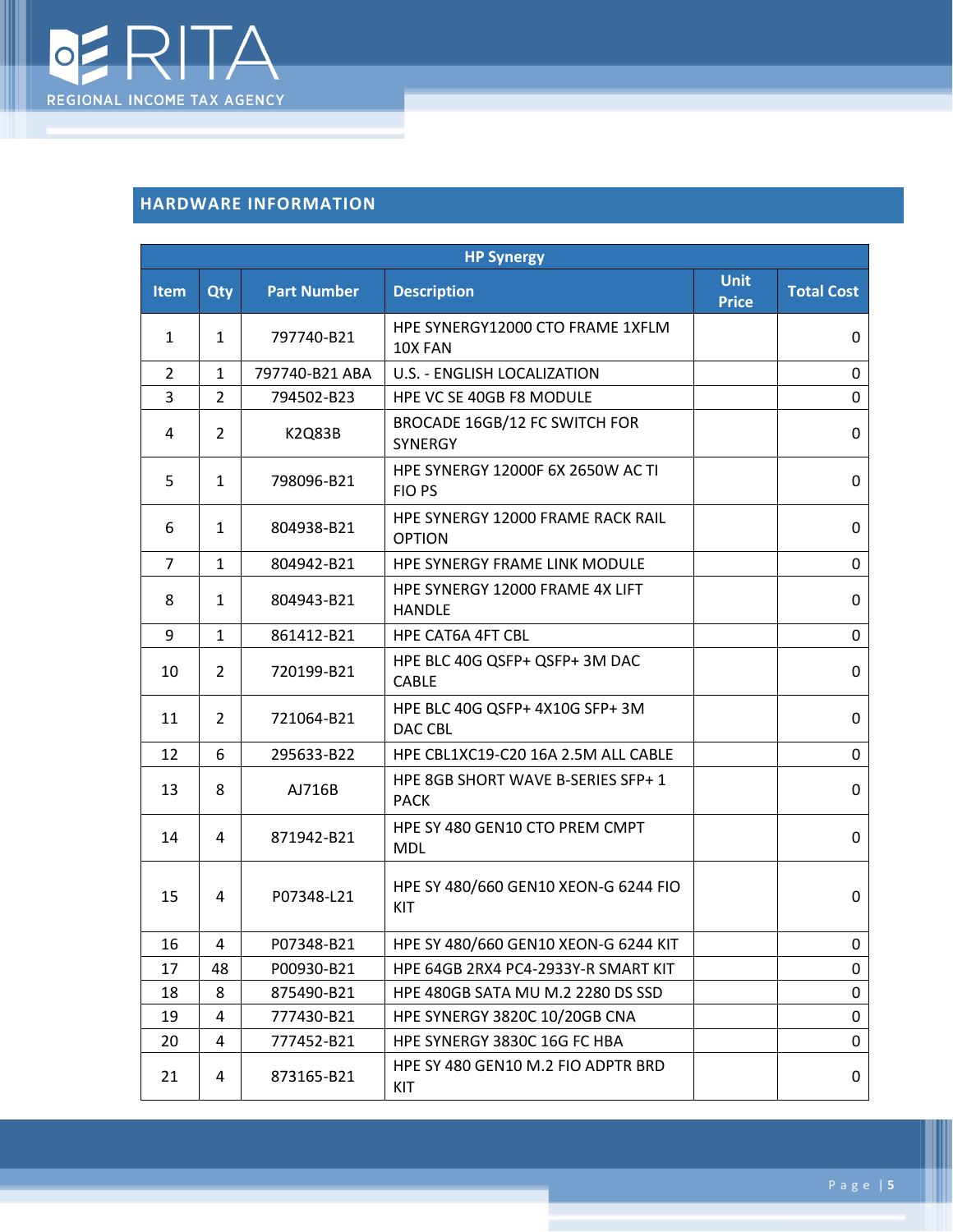

### <span id="page-4-0"></span>**HARDWARE INFORMATION**

| <b>HP Synergy</b> |                |                    |                                                    |                      |                   |  |
|-------------------|----------------|--------------------|----------------------------------------------------|----------------------|-------------------|--|
| <b>Item</b>       | Qty            | <b>Part Number</b> | <b>Description</b>                                 | Unit<br><b>Price</b> | <b>Total Cost</b> |  |
| 1                 | 1              | 797740-B21         | HPE SYNERGY12000 CTO FRAME 1XFLM<br>10X FAN        |                      | 0                 |  |
| 2                 | $\mathbf{1}$   | 797740-B21 ABA     | U.S. - ENGLISH LOCALIZATION                        |                      | 0                 |  |
| 3                 | 2              | 794502-B23         | HPE VC SE 40GB F8 MODULE                           |                      | 0                 |  |
| 4                 | $\overline{2}$ | <b>K2Q83B</b>      | BROCADE 16GB/12 FC SWITCH FOR<br><b>SYNERGY</b>    |                      | 0                 |  |
| 5                 | $\mathbf{1}$   | 798096-B21         | <b>HPE SYNERGY 12000F 6X 2650W AC TI</b><br>FIO PS |                      | 0                 |  |
| 6                 | 1              | 804938-B21         | HPE SYNERGY 12000 FRAME RACK RAIL<br><b>OPTION</b> |                      | 0                 |  |
| $\overline{7}$    | $\mathbf{1}$   | 804942-B21         | HPE SYNERGY FRAME LINK MODULE                      |                      | 0                 |  |
| 8                 | 1              | 804943-B21         | HPE SYNERGY 12000 FRAME 4X LIFT<br><b>HANDLE</b>   |                      | 0                 |  |
| 9                 | $\mathbf{1}$   | 861412-B21         | <b>HPE CAT6A 4FT CBL</b>                           |                      | 0                 |  |
| 10                | $\overline{2}$ | 720199-B21         | HPE BLC 40G QSFP+ QSFP+ 3M DAC<br><b>CABLE</b>     |                      | 0                 |  |
| 11                | $\overline{2}$ | 721064-B21         | HPE BLC 40G QSFP+ 4X10G SFP+ 3M<br>DAC CBL         |                      | 0                 |  |
| 12                | 6              | 295633-B22         | HPE CBL1XC19-C20 16A 2.5M ALL CABLE                |                      | 0                 |  |
| 13                | 8              | AJ716B             | HPE 8GB SHORT WAVE B-SERIES SFP+ 1<br><b>PACK</b>  |                      | 0                 |  |
| 14                | 4              | 871942-B21         | HPE SY 480 GEN10 CTO PREM CMPT<br><b>MDL</b>       |                      | 0                 |  |
| 15                | 4              | P07348-L21         | HPE SY 480/660 GEN10 XEON-G 6244 FIO<br>KIT        |                      | 0                 |  |
| 16                | 4              | P07348-B21         | HPE SY 480/660 GEN10 XEON-G 6244 KIT               |                      | 0                 |  |
| 17                | 48             | P00930-B21         | HPE 64GB 2RX4 PC4-2933Y-R SMART KIT                |                      | 0                 |  |
| 18                | 8              | 875490-B21         | HPE 480GB SATA MU M.2 2280 DS SSD                  |                      | 0                 |  |
| 19                | 4              | 777430-B21         | HPE SYNERGY 3820C 10/20GB CNA                      |                      | 0                 |  |
| 20                | 4              | 777452-B21         | HPE SYNERGY 3830C 16G FC HBA                       |                      | 0                 |  |
| 21                | 4              | 873165-B21         | HPE SY 480 GEN10 M.2 FIO ADPTR BRD<br>KIT          |                      | 0                 |  |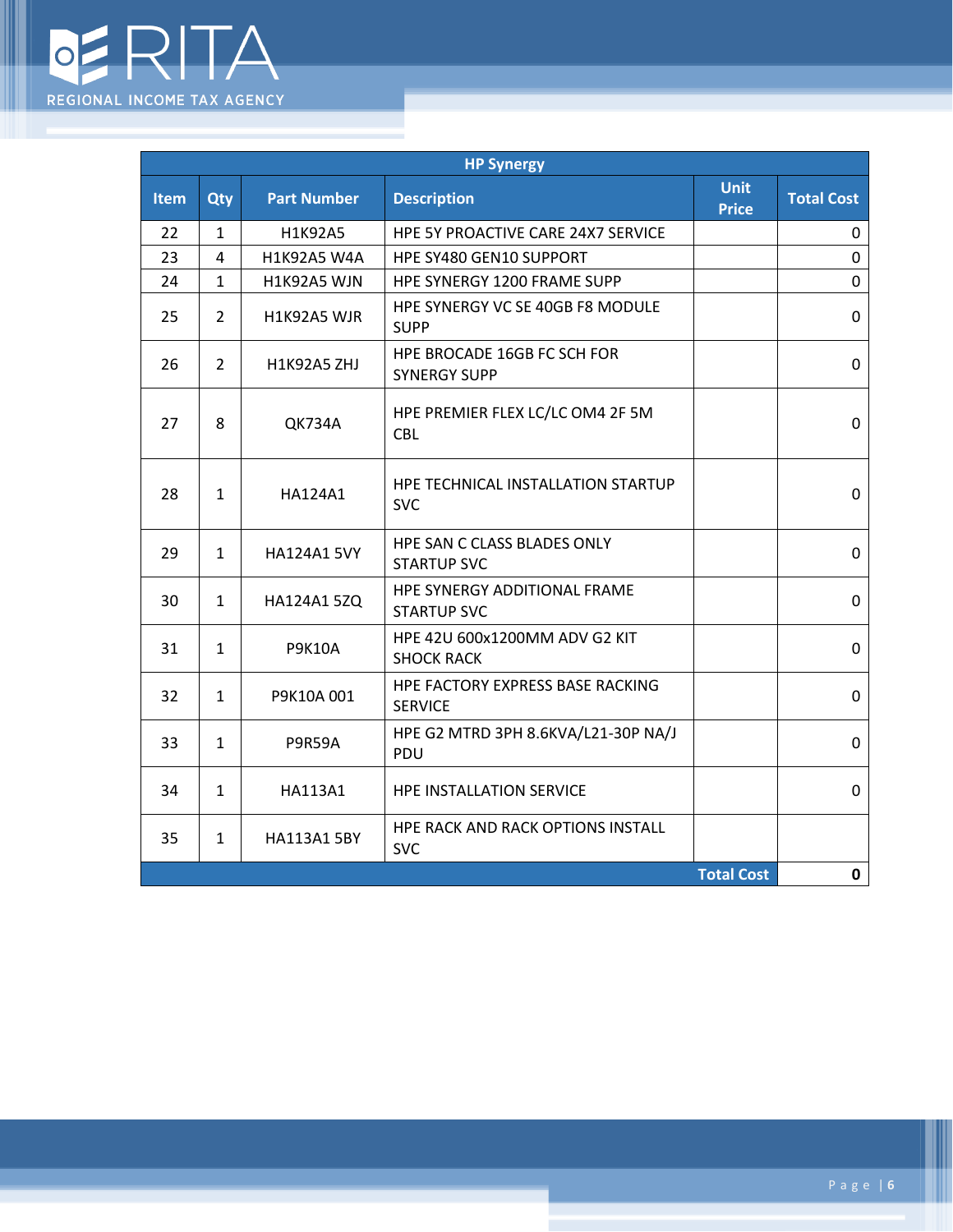

I

| <b>HP Synergy</b> |                |                    |                                                    |                      |                   |
|-------------------|----------------|--------------------|----------------------------------------------------|----------------------|-------------------|
| <b>Item</b>       | Qty            | <b>Part Number</b> | <b>Description</b>                                 | Unit<br><b>Price</b> | <b>Total Cost</b> |
| 22                | $\mathbf{1}$   | H1K92A5            | HPE 5Y PROACTIVE CARE 24X7 SERVICE                 |                      | 0                 |
| 23                | 4              | H1K92A5 W4A        | HPE SY480 GEN10 SUPPORT                            |                      | 0                 |
| 24                | $\mathbf{1}$   | H1K92A5 WJN        | HPE SYNERGY 1200 FRAME SUPP                        |                      | 0                 |
| 25                | $\overline{2}$ | H1K92A5 WJR        | HPE SYNERGY VC SE 40GB F8 MODULE<br><b>SUPP</b>    |                      | 0                 |
| 26                | $\overline{2}$ | H1K92A5 ZHJ        | HPE BROCADE 16GB FC SCH FOR<br><b>SYNERGY SUPP</b> |                      | 0                 |
| 27                | 8              | <b>QK734A</b>      | HPE PREMIER FLEX LC/LC OM4 2F 5M<br><b>CBL</b>     |                      | 0                 |
| 28                | $\mathbf{1}$   | HA124A1            | HPE TECHNICAL INSTALLATION STARTUP<br><b>SVC</b>   |                      | 0                 |
| 29                | $\mathbf{1}$   | <b>HA124A1 5VY</b> | HPE SAN C CLASS BLADES ONLY<br><b>STARTUP SVC</b>  |                      | 0                 |
| 30                | 1              | HA124A1 5ZQ        | HPE SYNERGY ADDITIONAL FRAME<br><b>STARTUP SVC</b> |                      | 0                 |
| 31                | $\mathbf{1}$   | <b>P9K10A</b>      | HPE 42U 600x1200MM ADV G2 KIT<br><b>SHOCK RACK</b> |                      | 0                 |
| 32                | $\mathbf{1}$   | P9K10A001          | HPE FACTORY EXPRESS BASE RACKING<br><b>SERVICE</b> |                      | 0                 |
| 33                | $\mathbf{1}$   | <b>P9R59A</b>      | HPE G2 MTRD 3PH 8.6KVA/L21-30P NA/J<br>PDU         |                      | 0                 |
| 34                | $\mathbf{1}$   | HA113A1            | <b>HPE INSTALLATION SERVICE</b>                    |                      | 0                 |
| 35                | $\mathbf{1}$   | <b>HA113A1 5BY</b> | HPE RACK AND RACK OPTIONS INSTALL<br><b>SVC</b>    |                      |                   |
| <b>Total Cost</b> |                |                    |                                                    |                      | 0                 |

Ш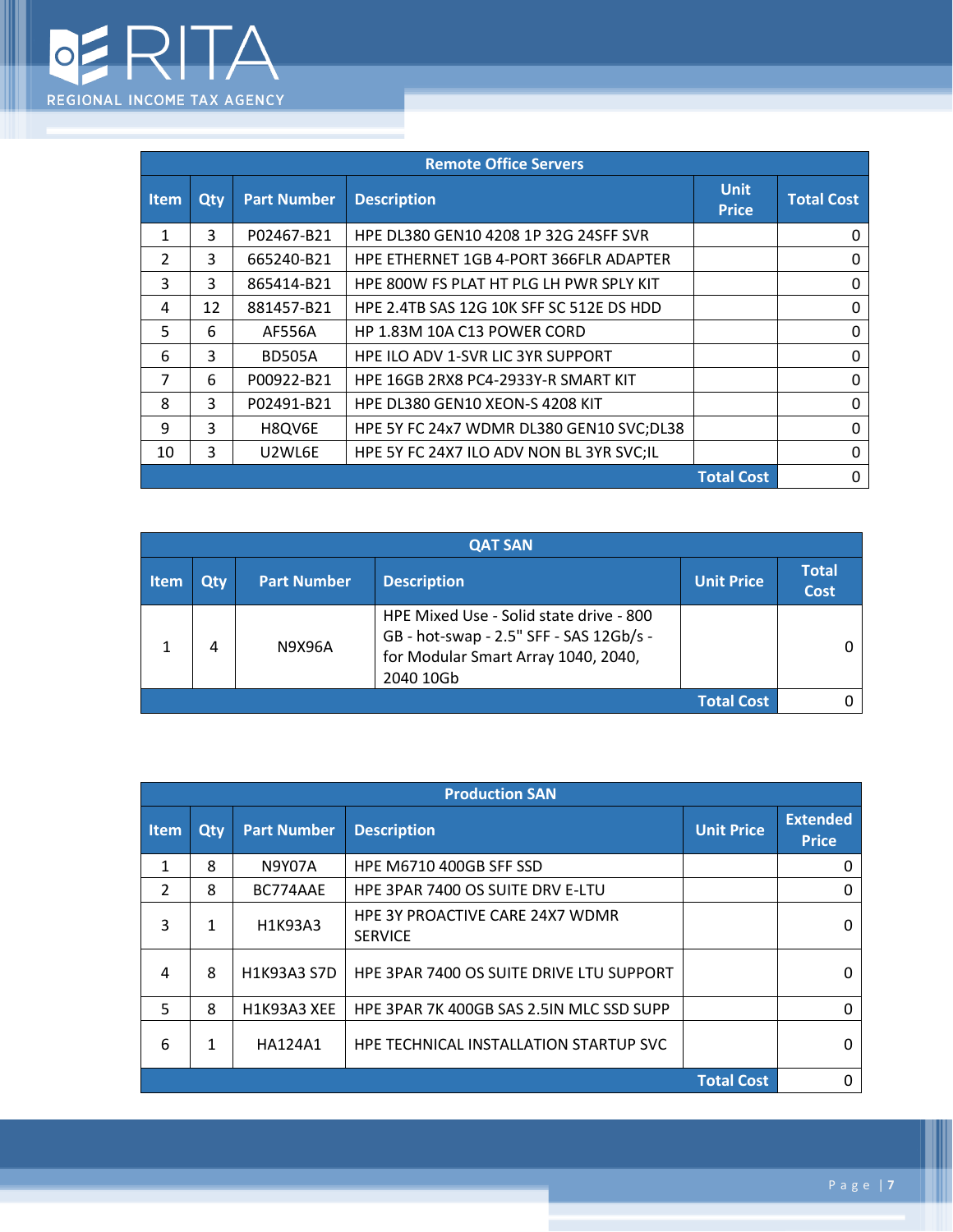

I

| <b>Remote Office Servers</b> |     |                                 |                                               |                             |                   |
|------------------------------|-----|---------------------------------|-----------------------------------------------|-----------------------------|-------------------|
| <b>Item</b>                  | Qty | <b>Part Number</b>              | <b>Description</b>                            | <b>Unit</b><br><b>Price</b> | <b>Total Cost</b> |
| 1                            | 3   | P02467-B21                      | HPE DL380 GEN10 4208 1P 32G 24SFF SVR         |                             | 0                 |
| $\mathcal{P}$                | 3   | 665240-B21                      | <b>HPE ETHERNET 1GB 4-PORT 366FLR ADAPTER</b> |                             | $\Omega$          |
| 3                            | 3   | 865414-B21                      | HPE 800W FS PLAT HT PLG LH PWR SPLY KIT       |                             | 0                 |
| 4                            | 12  | 881457-B21                      | HPE 2.4TB SAS 12G 10K SFF SC 512E DS HDD      |                             | 0                 |
| 5                            | 6   | AF556A                          | HP 1.83M 10A C13 POWER CORD                   |                             | $\Omega$          |
| 6                            | 3   | <b>BD505A</b>                   | <b>HPE ILO ADV 1-SVR LIC 3YR SUPPORT</b>      |                             | 0                 |
| 7                            | 6   | P00922-B21                      | HPE 16GB 2RX8 PC4-2933Y-R SMART KIT           |                             | 0                 |
| 8                            | 3   | P02491-B21                      | HPE DL380 GEN10 XEON-S 4208 KIT               |                             | $\Omega$          |
| 9                            | 3   | H8QV6E                          | HPE 5Y FC 24x7 WDMR DL380 GEN10 SVC;DL38      |                             | 0                 |
| 10                           | 3   | U <sub>2</sub> WL <sub>6E</sub> | HPE 5Y FC 24X7 ILO ADV NON BL 3YR SVC;IL      |                             | 0                 |
| <b>Total Cost</b>            |     |                                 |                                               |                             | 0                 |

|                   | <b>QAT SAN</b> |                    |                                                                                                                                        |                   |                             |
|-------------------|----------------|--------------------|----------------------------------------------------------------------------------------------------------------------------------------|-------------------|-----------------------------|
| <b>Item</b>       | Qty            | <b>Part Number</b> | <b>Description</b>                                                                                                                     | <b>Unit Price</b> | <b>Total</b><br><b>Cost</b> |
|                   | 4              | N9X96A             | HPE Mixed Use - Solid state drive - 800<br>GB - hot-swap - 2.5" SFF - SAS 12Gb/s -<br>for Modular Smart Array 1040, 2040,<br>2040 10Gb |                   |                             |
| <b>Total Cost</b> |                |                    |                                                                                                                                        |                   |                             |

| <b>Production SAN</b> |     |                    |                                                   |                   |                                 |
|-----------------------|-----|--------------------|---------------------------------------------------|-------------------|---------------------------------|
| <b>Item</b>           | Qty | <b>Part Number</b> | <b>Description</b>                                | <b>Unit Price</b> | <b>Extended</b><br><b>Price</b> |
| 1                     | 8   | <b>N9Y07A</b>      | HPE M6710 400GB SFF SSD                           |                   | Ω                               |
| $\mathcal{P}$         | 8   | BC774AAE           | HPE 3PAR 7400 OS SUITE DRV E-LTU                  |                   | 0                               |
| 3                     | 1   | H1K93A3            | HPE 3Y PROACTIVE CARE 24X7 WDMR<br><b>SERVICE</b> |                   | n                               |
| 4                     | 8   | <b>H1K93A3 S7D</b> | HPE 3PAR 7400 OS SUITE DRIVE LTU SUPPORT          |                   | O                               |
| 5                     | 8   | H1K93A3 XEE        | HPE 3PAR 7K 400GB SAS 2.5IN MLC SSD SUPP          |                   | 0                               |
| 6                     | 1   | <b>HA124A1</b>     | HPE TECHNICAL INSTALLATION STARTUP SVC            |                   | O                               |
| <b>Total Cost</b>     |     |                    |                                                   |                   |                                 |